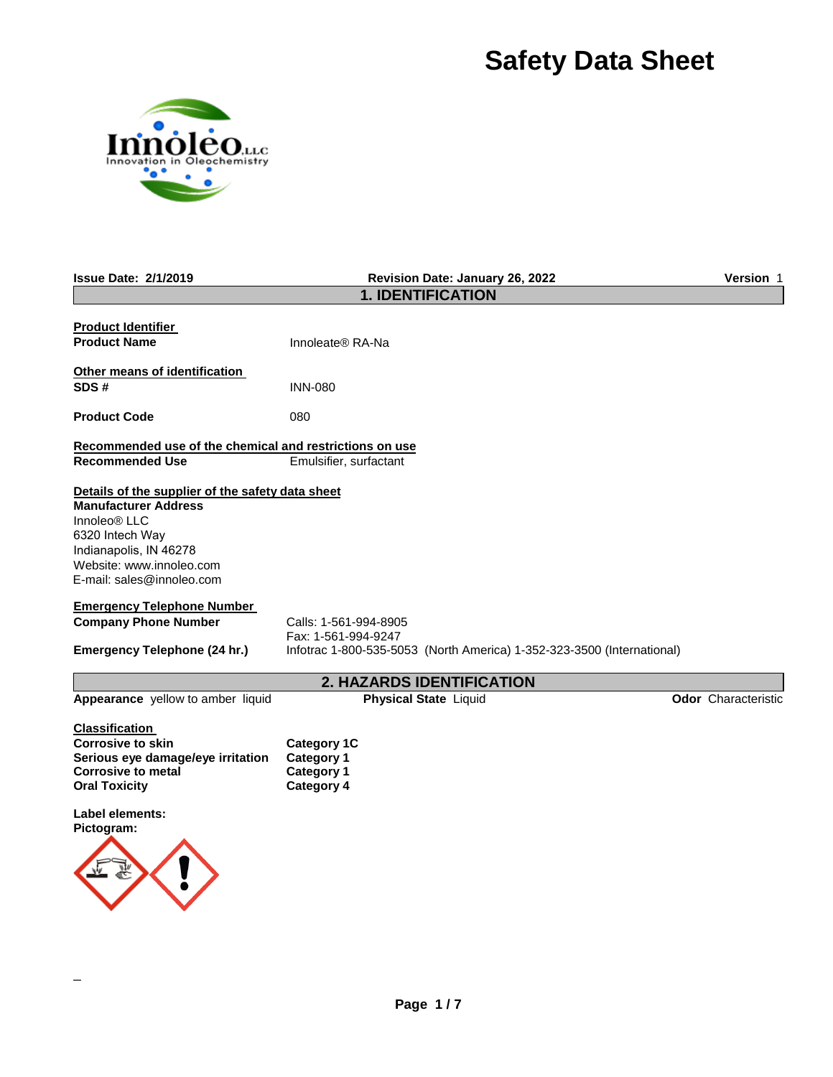# **Safety Data Sheet**



 $\overline{a}$ 

| <b>Issue Date: 2/1/2019</b>                                                                                                                                                                                       | Revision Date: January 26, 2022                                                                                        | <b>Version 1</b>           |
|-------------------------------------------------------------------------------------------------------------------------------------------------------------------------------------------------------------------|------------------------------------------------------------------------------------------------------------------------|----------------------------|
|                                                                                                                                                                                                                   | <b>1. IDENTIFICATION</b>                                                                                               |                            |
| <b>Product Identifier</b><br><b>Product Name</b>                                                                                                                                                                  | Innoleate® RA-Na                                                                                                       |                            |
| Other means of identification<br>SDS#                                                                                                                                                                             | <b>INN-080</b>                                                                                                         |                            |
| <b>Product Code</b>                                                                                                                                                                                               | 080                                                                                                                    |                            |
| Recommended use of the chemical and restrictions on use<br><b>Recommended Use</b>                                                                                                                                 | Emulsifier, surfactant                                                                                                 |                            |
| Details of the supplier of the safety data sheet<br><b>Manufacturer Address</b><br>Innoleo <sup>®</sup> LLC<br>6320 Intech Way<br>Indianapolis, IN 46278<br>Website: www.innoleo.com<br>E-mail: sales@innoleo.com |                                                                                                                        |                            |
| <b>Emergency Telephone Number</b><br><b>Company Phone Number</b><br>Emergency Telephone (24 hr.)                                                                                                                  | Calls: 1-561-994-8905<br>Fax: 1-561-994-9247<br>Infotrac 1-800-535-5053 (North America) 1-352-323-3500 (International) |                            |
|                                                                                                                                                                                                                   | 2. HAZARDS IDENTIFICATION                                                                                              |                            |
| Appearance yellow to amber liquid                                                                                                                                                                                 | <b>Physical State Liquid</b>                                                                                           | <b>Odor</b> Characteristic |
| <b>Classification</b><br><b>Corrosive to skin</b><br>Serious eye damage/eye irritation<br><b>Corrosive to metal</b><br><b>Oral Toxicity</b>                                                                       | <b>Category 1C</b><br><b>Category 1</b><br><b>Category 1</b><br><b>Category 4</b>                                      |                            |
| <b>Label elements:</b><br>Pictogram:                                                                                                                                                                              |                                                                                                                        |                            |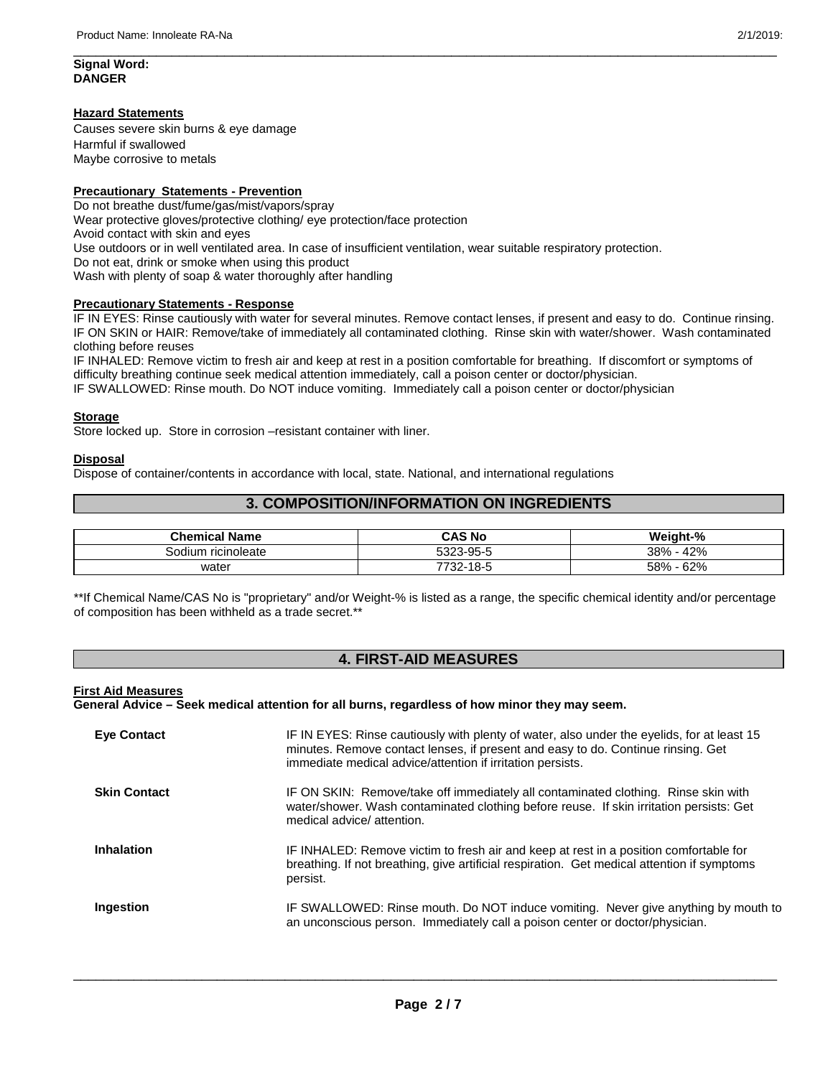\_\_\_\_\_\_\_\_\_\_\_\_\_\_\_\_\_\_\_\_\_\_\_\_\_\_\_\_\_\_\_\_\_\_\_\_\_\_\_\_\_\_\_\_\_\_\_\_\_\_\_\_\_\_\_\_\_\_\_\_\_\_\_\_\_\_\_\_\_\_\_\_\_\_\_\_\_\_\_\_\_\_\_\_\_\_\_\_\_\_\_\_\_ **Signal Word: DANGER**

# **Hazard Statements**

Causes severe skin burns & eye damage Harmful if swallowed Maybe corrosive to metals

# **Precautionary Statements - Prevention**

Do not breathe dust/fume/gas/mist/vapors/spray Wear protective gloves/protective clothing/ eye protection/face protection Avoid contact with skin and eyes Use outdoors or in well ventilated area. In case of insufficient ventilation, wear suitable respiratory protection. Do not eat, drink or smoke when using this product Wash with plenty of soap & water thoroughly after handling

# **Precautionary Statements - Response**

IF IN EYES: Rinse cautiously with water for several minutes. Remove contact lenses, if present and easy to do. Continue rinsing. IF ON SKIN or HAIR: Remove/take of immediately all contaminated clothing. Rinse skin with water/shower. Wash contaminated clothing before reuses

IF INHALED: Remove victim to fresh air and keep at rest in a position comfortable for breathing. If discomfort or symptoms of difficulty breathing continue seek medical attention immediately, call a poison center or doctor/physician. IF SWALLOWED: Rinse mouth. Do NOT induce vomiting. Immediately call a poison center or doctor/physician

**Storage**

Store locked up. Store in corrosion –resistant container with liner.

### **Disposal**

Dispose of container/contents in accordance with local, state. National, and international regulations

# **3. COMPOSITION/INFORMATION ON INGREDIENTS**

| <b>Chemical Name</b>            | CAS No               | Weight-%         |
|---------------------------------|----------------------|------------------|
| ricinoleate<br>3odiui<br>$\sim$ | $3 - 95 - 5$<br>cooo | 12%<br>38%       |
| water                           | 7732-18-5            | 62%<br>58%<br>7۵ |

\*\*If Chemical Name/CAS No is "proprietary" and/or Weight-% is listed as a range, the specific chemical identity and/or percentage of composition has been withheld as a trade secret.\*\*

# **4. FIRST-AID MEASURES**

### **First Aid Measures**

**General Advice – Seek medical attention for all burns, regardless of how minor they may seem.**

| <b>Eye Contact</b>  | IF IN EYES: Rinse cautiously with plenty of water, also under the eyelids, for at least 15<br>minutes. Remove contact lenses, if present and easy to do. Continue rinsing. Get<br>immediate medical advice/attention if irritation persists. |
|---------------------|----------------------------------------------------------------------------------------------------------------------------------------------------------------------------------------------------------------------------------------------|
| <b>Skin Contact</b> | IF ON SKIN: Remove/take off immediately all contaminated clothing. Rinse skin with<br>water/shower. Wash contaminated clothing before reuse. If skin irritation persists: Get<br>medical advice/ attention.                                  |
| Inhalation          | IF INHALED: Remove victim to fresh air and keep at rest in a position comfortable for<br>breathing. If not breathing, give artificial respiration. Get medical attention if symptoms<br>persist.                                             |
| Ingestion           | IF SWALLOWED: Rinse mouth. Do NOT induce vomiting. Never give anything by mouth to<br>an unconscious person. Immediately call a poison center or doctor/physician.                                                                           |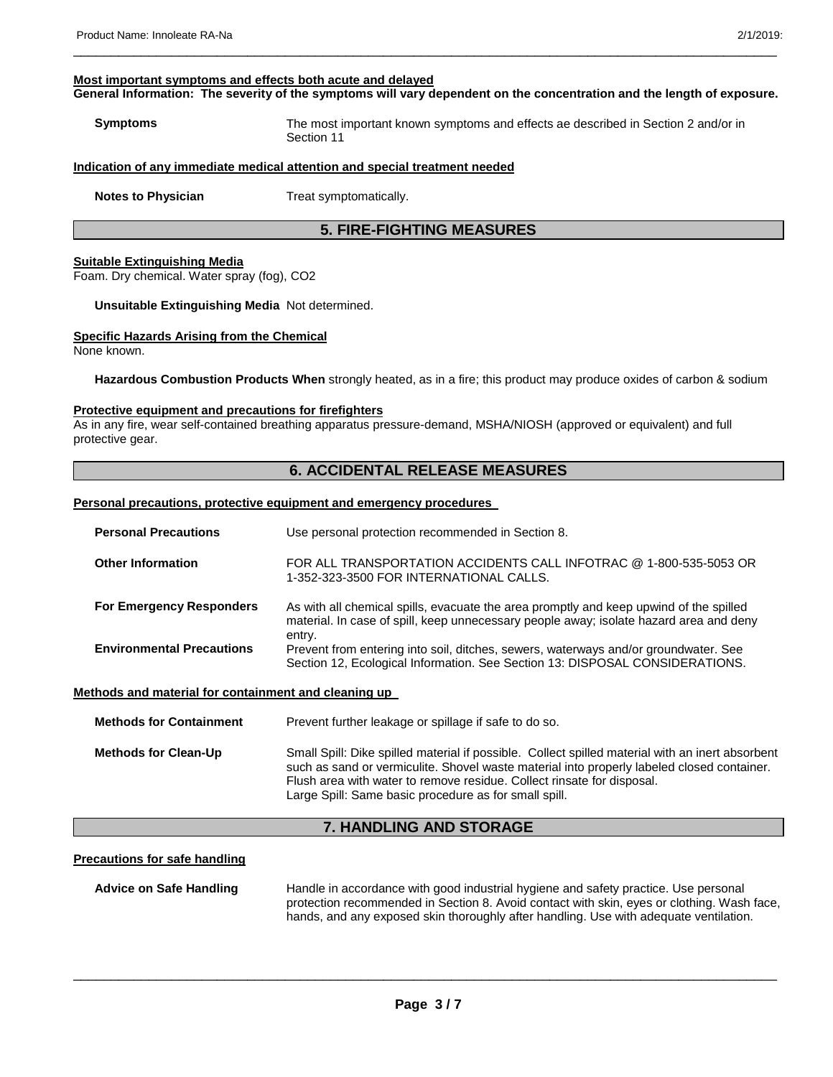#### **Most important symptoms and effects both acute and delayed**

#### **General Information: The severity of the symptoms will vary dependent on the concentration and the length of exposure.**

\_\_\_\_\_\_\_\_\_\_\_\_\_\_\_\_\_\_\_\_\_\_\_\_\_\_\_\_\_\_\_\_\_\_\_\_\_\_\_\_\_\_\_\_\_\_\_\_\_\_\_\_\_\_\_\_\_\_\_\_\_\_\_\_\_\_\_\_\_\_\_\_\_\_\_\_\_\_\_\_\_\_\_\_\_\_\_\_\_\_\_\_\_

**Symptoms** The most important known symptoms and effects ae described in Section 2 and/or in Section 11

# **Indication of any immediate medical attention and special treatment needed**

**Notes to Physician Treat symptomatically.** 

# **5. FIRE-FIGHTING MEASURES**

#### **Suitable Extinguishing Media**

Foam. Dry chemical. Water spray (fog), CO2

#### **Unsuitable Extinguishing Media** Not determined.

#### **Specific Hazards Arising from the Chemical**

None known.

**Hazardous Combustion Products When** strongly heated, as in a fire; this product may produce oxides of carbon & sodium

#### **Protective equipment and precautions for firefighters**

As in any fire, wear self-contained breathing apparatus pressure-demand, MSHA/NIOSH (approved or equivalent) and full protective gear.

# **6. ACCIDENTAL RELEASE MEASURES**

#### **Personal precautions, protective equipment and emergency procedures**

| <b>Personal Precautions</b>                          | Use personal protection recommended in Section 8.                                                                                                                                              |
|------------------------------------------------------|------------------------------------------------------------------------------------------------------------------------------------------------------------------------------------------------|
| <b>Other Information</b>                             | FOR ALL TRANSPORTATION ACCIDENTS CALL INFOTRAC @ 1-800-535-5053 OR<br>1-352-323-3500 FOR INTERNATIONAL CALLS.                                                                                  |
| <b>For Emergency Responders</b>                      | As with all chemical spills, evacuate the area promptly and keep upwind of the spilled<br>material. In case of spill, keep unnecessary people away; isolate hazard area and deny<br>entry.     |
| <b>Environmental Precautions</b>                     | Prevent from entering into soil, ditches, sewers, waterways and/or groundwater. See<br>Section 12, Ecological Information. See Section 13: DISPOSAL CONSIDERATIONS.                            |
| Methods and material for containment and cleaning up |                                                                                                                                                                                                |
| <b>Methods for Containment</b>                       | Prevent further leakage or spillage if safe to do so.                                                                                                                                          |
| <b>Methods for Clean-Up</b>                          | Small Spill: Dike spilled material if possible. Collect spilled material with an inert absorbent<br>such as sand or vermiculite. Shovel waste material into properly labeled closed container. |

### **7. HANDLING AND STORAGE**

Large Spill: Same basic procedure as for small spill.

Flush area with water to remove residue. Collect rinsate for disposal.

#### **Precautions for safe handling**

**Advice on Safe Handling** Handle in accordance with good industrial hygiene and safety practice. Use personal protection recommended in Section 8. Avoid contact with skin, eyes or clothing. Wash face, hands, and any exposed skin thoroughly after handling. Use with adequate ventilation.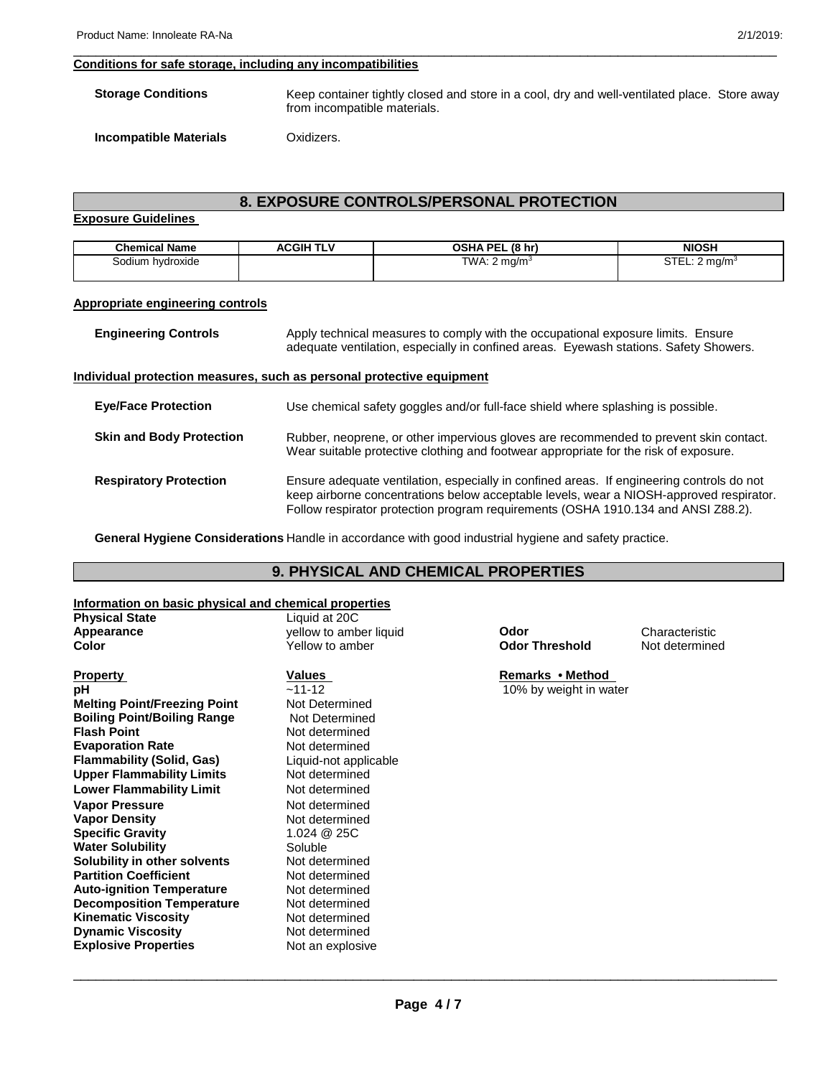#### \_\_\_\_\_\_\_\_\_\_\_\_\_\_\_\_\_\_\_\_\_\_\_\_\_\_\_\_\_\_\_\_\_\_\_\_\_\_\_\_\_\_\_\_\_\_\_\_\_\_\_\_\_\_\_\_\_\_\_\_\_\_\_\_\_\_\_\_\_\_\_\_\_\_\_\_\_\_\_\_\_\_\_\_\_\_\_\_\_\_\_\_\_ **Conditions for safe storage, including any incompatibilities**

**Storage Conditions** Keep container tightly closed and store in a cool, dry and well-ventilated place. Store away from incompatible materials.

**Incompatible Materials Cxidizers.** 

# **8. EXPOSURE CONTROLS/PERSONAL PROTECTION**

#### **Exposure Guidelines**

| <b>Chemical Name</b> | <b>ACGIH TL''</b> | <b>OSHA PEL</b><br>(8 <sub>hr</sub> )                    | <b>NIOSH</b>                    |
|----------------------|-------------------|----------------------------------------------------------|---------------------------------|
| Sodium hydroxide     |                   | TWA.<br>$2 \text{ ma/m}$ <sup>3</sup><br>$\cdot$ $\cdot$ | : ma/mª<br>.<br>$\cdot$ $\cdot$ |

#### **Appropriate engineering controls**

| <b>Engineering Controls</b> | Apply technical measures to comply with the occupational exposure limits. Ensure      |  |  |
|-----------------------------|---------------------------------------------------------------------------------------|--|--|
|                             | adequate ventilation, especially in confined areas. Eyewash stations. Safety Showers. |  |  |
|                             |                                                                                       |  |  |

# **Individual protection measures, such as personal protective equipment**

| <b>Eve/Face Protection</b>      | Use chemical safety goggles and/or full-face shield where splashing is possible.                                                                                                                                                                                          |
|---------------------------------|---------------------------------------------------------------------------------------------------------------------------------------------------------------------------------------------------------------------------------------------------------------------------|
| <b>Skin and Body Protection</b> | Rubber, neoprene, or other impervious gloves are recommended to prevent skin contact.<br>Wear suitable protective clothing and footwear appropriate for the risk of exposure.                                                                                             |
| <b>Respiratory Protection</b>   | Ensure adequate ventilation, especially in confined areas. If engineering controls do not<br>keep airborne concentrations below acceptable levels, wear a NIOSH-approved respirator.<br>Follow respirator protection program requirements (OSHA 1910.134 and ANSI Z88.2). |

**General Hygiene Considerations** Handle in accordance with good industrial hygiene and safety practice.

# **9. PHYSICAL AND CHEMICAL PROPERTIES**

| Information on basic physical and chemical properties |                        |                        |                |
|-------------------------------------------------------|------------------------|------------------------|----------------|
| <b>Physical State</b>                                 | Liquid at 20C          |                        |                |
| Appearance                                            | yellow to amber liquid | Odor                   | Characteristic |
| Color                                                 | Yellow to amber        | <b>Odor Threshold</b>  | Not determined |
| Property                                              | Values                 | Remarks • Method       |                |
| pН                                                    | $~11-12$               | 10% by weight in water |                |
| <b>Melting Point/Freezing Point</b>                   | Not Determined         |                        |                |
| <b>Boiling Point/Boiling Range</b>                    | Not Determined         |                        |                |
| Flash Point                                           | Not determined         |                        |                |
| <b>Evaporation Rate</b>                               | Not determined         |                        |                |
| Flammability (Solid, Gas)                             | Liquid-not applicable  |                        |                |
| <b>Upper Flammability Limits</b>                      | Not determined         |                        |                |
| <b>Lower Flammability Limit</b>                       | Not determined         |                        |                |
| <b>Vapor Pressure</b>                                 | Not determined         |                        |                |
| Vapor Density                                         | Not determined         |                        |                |
| <b>Specific Gravity</b>                               | 1.024 @ 25C            |                        |                |
| <b>Water Solubility</b>                               | Soluble                |                        |                |
| Solubility in other solvents                          | Not determined         |                        |                |
| <b>Partition Coefficient</b>                          | Not determined         |                        |                |
| <b>Auto-ignition Temperature</b>                      | Not determined         |                        |                |
| <b>Decomposition Temperature</b>                      | Not determined         |                        |                |
| <b>Kinematic Viscosity</b>                            | Not determined         |                        |                |
| <b>Dynamic Viscosity</b>                              | Not determined         |                        |                |
| <b>Explosive Properties</b>                           | Not an explosive       |                        |                |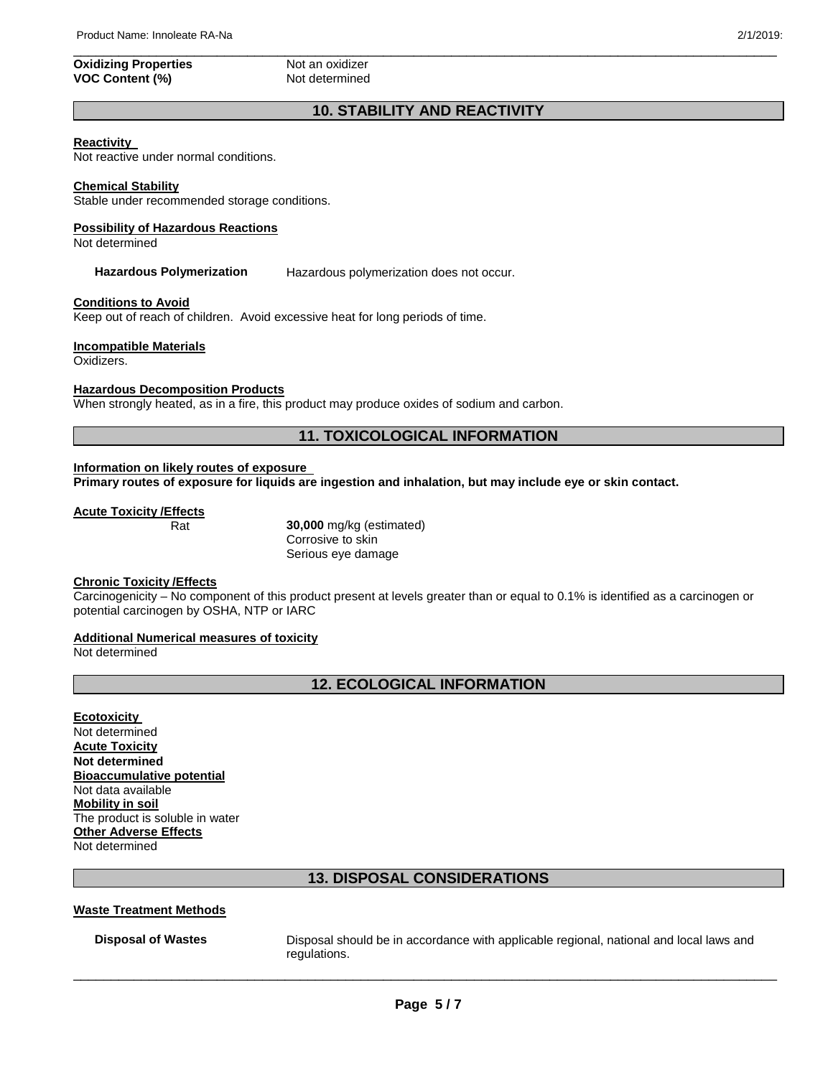#### \_\_\_\_\_\_\_\_\_\_\_\_\_\_\_\_\_\_\_\_\_\_\_\_\_\_\_\_\_\_\_\_\_\_\_\_\_\_\_\_\_\_\_\_\_\_\_\_\_\_\_\_\_\_\_\_\_\_\_\_\_\_\_\_\_\_\_\_\_\_\_\_\_\_\_\_\_\_\_\_\_\_\_\_\_\_\_\_\_\_\_\_\_ **Oxidizing Properties** Not an oxidizer **VOC Content (%)** Not determined

# **10. STABILITY AND REACTIVITY**

#### **Reactivity**

Not reactive under normal conditions.

#### **Chemical Stability**

Stable under recommended storage conditions.

#### **Possibility of Hazardous Reactions**

Not determined

**Hazardous Polymerization** Hazardous polymerization does not occur.

# **Conditions to Avoid**

Keep out of reach of children. Avoid excessive heat for long periods of time.

#### **Incompatible Materials**

Oxidizers.

### **Hazardous Decomposition Products**

When strongly heated, as in a fire, this product may produce oxides of sodium and carbon.

# **11. TOXICOLOGICAL INFORMATION**

#### **Information on likely routes of exposure**

**Primary routes of exposure for liquids are ingestion and inhalation, but may include eye or skin contact.**

#### **Acute Toxicity /Effects**

Rat **30,000** mg/kg (estimated) Corrosive to skin Serious eye damage

#### **Chronic Toxicity /Effects**

Carcinogenicity – No component of this product present at levels greater than or equal to 0.1% is identified as a carcinogen or potential carcinogen by OSHA, NTP or IARC

#### **Additional Numerical measures of toxicity**

Not determined

**12. ECOLOGICAL INFORMATION** 

**Ecotoxicity**  Not determined **Acute Toxicity Not determined Bioaccumulative potential** Not data available **Mobility in soil** The product is soluble in water **Other Adverse Effects** Not determined

# **13. DISPOSAL CONSIDERATIONS**

#### **Waste Treatment Methods**

**Disposal of Wastes** Disposal should be in accordance with applicable regional, national and local laws and regulations.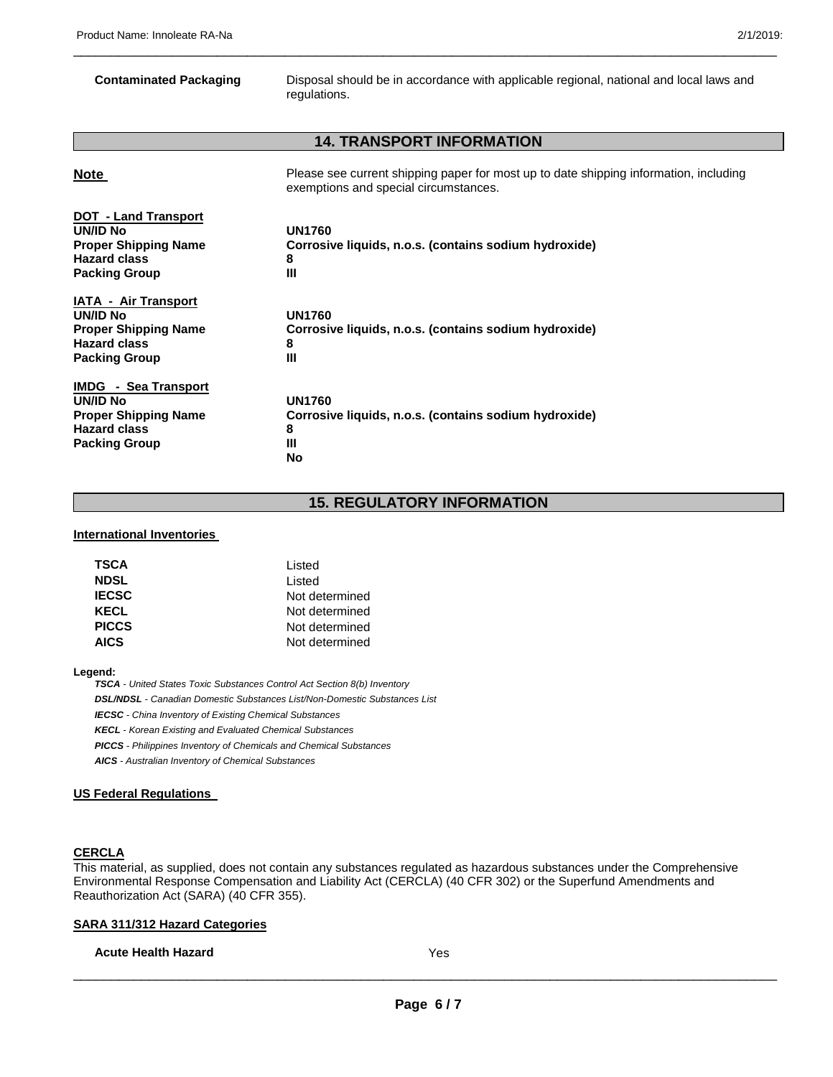**Contaminated Packaging** Disposal should be in accordance with applicable regional, national and local laws and regulations.

# **14. TRANSPORT INFORMATION**

\_\_\_\_\_\_\_\_\_\_\_\_\_\_\_\_\_\_\_\_\_\_\_\_\_\_\_\_\_\_\_\_\_\_\_\_\_\_\_\_\_\_\_\_\_\_\_\_\_\_\_\_\_\_\_\_\_\_\_\_\_\_\_\_\_\_\_\_\_\_\_\_\_\_\_\_\_\_\_\_\_\_\_\_\_\_\_\_\_\_\_\_\_

| <b>Note</b>                                                                                                           | Please see current shipping paper for most up to date shipping information, including<br>exemptions and special circumstances. |
|-----------------------------------------------------------------------------------------------------------------------|--------------------------------------------------------------------------------------------------------------------------------|
| <b>DOT - Land Transport</b><br>UN/ID No<br><b>Proper Shipping Name</b><br><b>Hazard class</b><br><b>Packing Group</b> | <b>UN1760</b><br>Corrosive liquids, n.o.s. (contains sodium hydroxide)<br>8<br>Ш                                               |
| IATA - Air Transport<br>UN/ID No<br><b>Proper Shipping Name</b><br><b>Hazard class</b><br><b>Packing Group</b>        | <b>UN1760</b><br>Corrosive liquids, n.o.s. (contains sodium hydroxide)<br>8<br>Ш                                               |
| <b>IMDG</b> - Sea Transport<br>UN/ID No<br><b>Proper Shipping Name</b><br><b>Hazard class</b><br><b>Packing Group</b> | <b>UN1760</b><br>Corrosive liquids, n.o.s. (contains sodium hydroxide)<br>8<br>Ш<br>No                                         |

# **15. REGULATORY INFORMATION**

#### **International Inventories**

| <b>TSCA</b>  | Listed         |
|--------------|----------------|
| <b>NDSL</b>  | Listed         |
| <b>IECSC</b> | Not determined |
| <b>KECL</b>  | Not determined |
| <b>PICCS</b> | Not determined |
| <b>AICS</b>  | Not determined |

#### **Legend:**

*TSCA - United States Toxic Substances Control Act Section 8(b) Inventory* 

*DSL/NDSL - Canadian Domestic Substances List/Non-Domestic Substances List* 

*IECSC - China Inventory of Existing Chemical Substances* 

*KECL - Korean Existing and Evaluated Chemical Substances* 

*PICCS - Philippines Inventory of Chemicals and Chemical Substances* 

*AICS - Australian Inventory of Chemical Substances* 

#### **US Federal Regulations**

# **CERCLA**

This material, as supplied, does not contain any substances regulated as hazardous substances under the Comprehensive Environmental Response Compensation and Liability Act (CERCLA) (40 CFR 302) or the Superfund Amendments and Reauthorization Act (SARA) (40 CFR 355).

#### **SARA 311/312 Hazard Categories**

#### **Acute Health Hazard** Yes